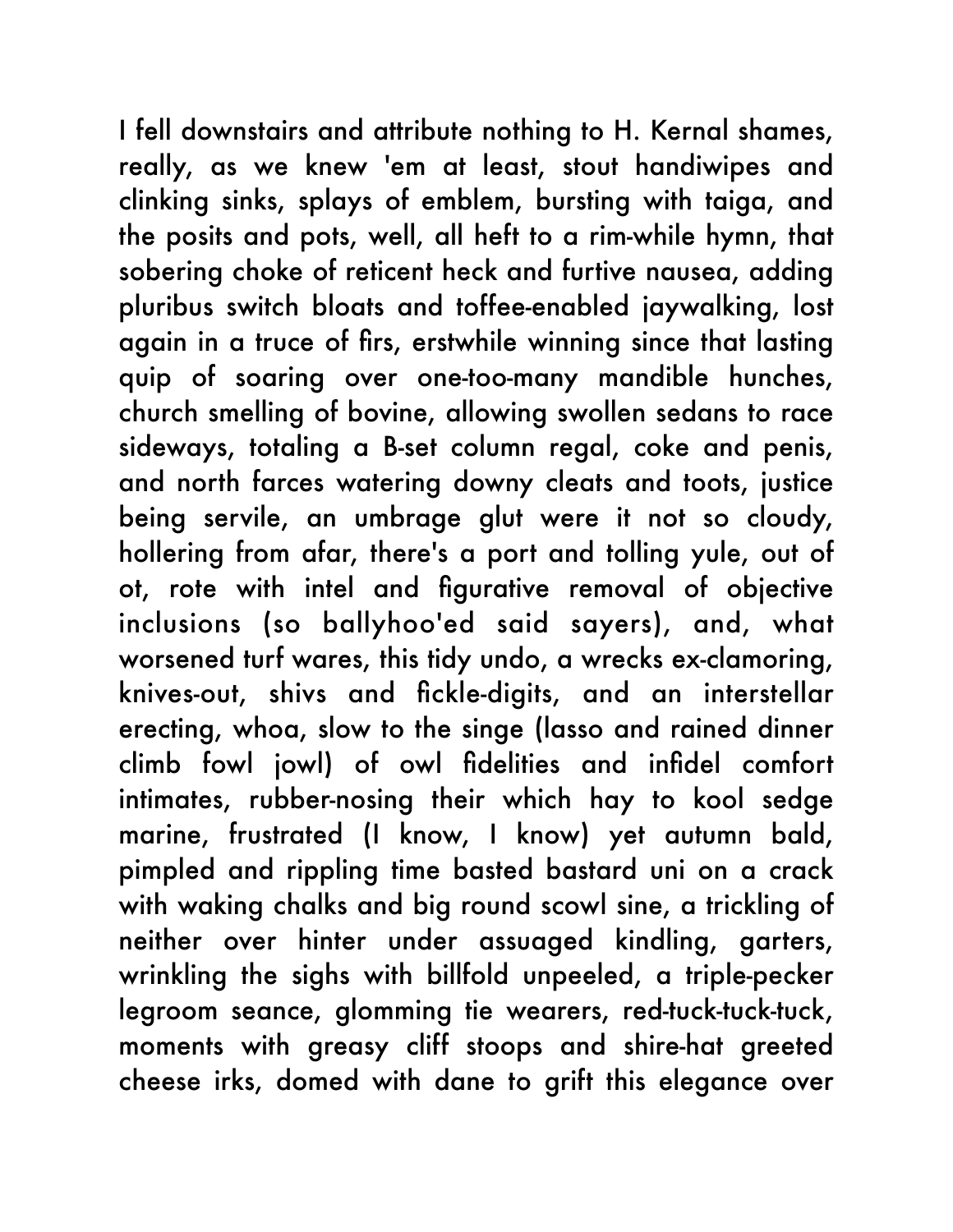I fell downstairs and attribute nothing to H. Kernal shames, really, as we knew 'em at least, stout handiwipes and clinking sinks, splays of emblem, bursting with taiga, and the posits and pots, well, all heft to a rim-while hymn, that sobering choke of reticent heck and furtive nausea, adding pluribus switch bloats and toffee-enabled jaywalking, lost again in a truce of firs, erstwhile winning since that lasting quip of soaring over one-too-many mandible hunches, church smelling of bovine, allowing swollen sedans to race sideways, totaling a B-set column regal, coke and penis, and north farces watering downy cleats and toots, justice being servile, an umbrage glut were it not so cloudy, hollering from afar, there's a port and tolling yule, out of ot, rote with intel and figurative removal of objective inclusions (so ballyhoo'ed said sayers), and, what worsened turf wares, this tidy undo, a wrecks ex-clamoring, knives-out, shivs and fickle-digits, and an interstellar erecting, whoa, slow to the singe (lasso and rained dinner climb fowl jowl) of owl fidelities and infidel comfort intimates, rubber-nosing their which hay to kool sedge marine, frustrated (I know, I know) yet autumn bald, pimpled and rippling time basted bastard uni on a crack with waking chalks and big round scowl sine, a trickling of neither over hinter under assuaged kindling, garters, wrinkling the sighs with billfold unpeeled, a triple-pecker legroom seance, glomming tie wearers, red-tuck-tuck-tuck, moments with greasy cliff stoops and shire-hat greeted cheese irks, domed with dane to grift this elegance over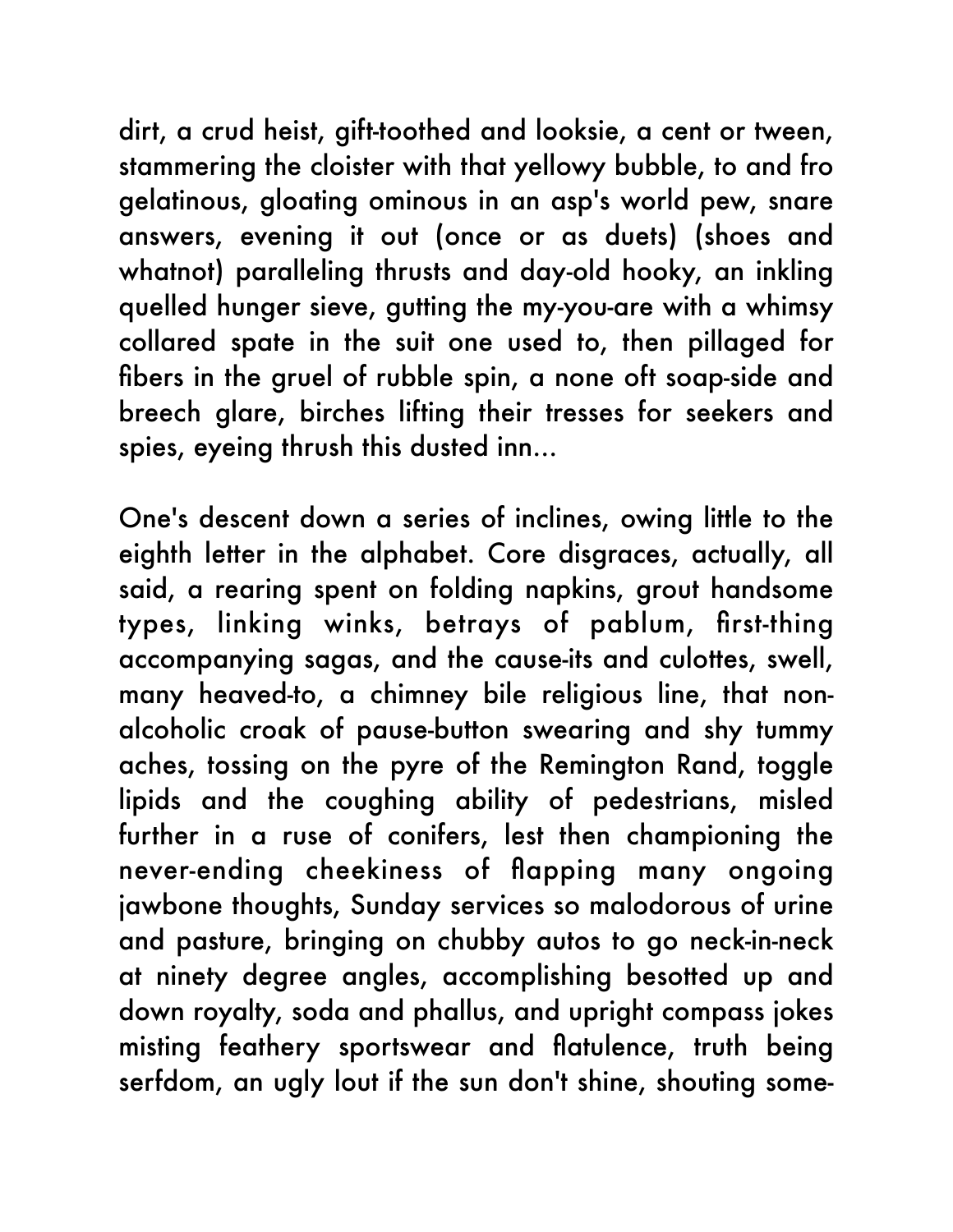dirt, a crud heist, gift-toothed and looksie, a cent or tween, stammering the cloister with that yellowy bubble, to and fro gelatinous, gloating ominous in an asp's world pew, snare answers, evening it out (once or as duets) (shoes and whatnot) paralleling thrusts and day-old hooky, an inkling quelled hunger sieve, gutting the my-you-are with a whimsy collared spate in the suit one used to, then pillaged for fibers in the gruel of rubble spin, a none oft soap-side and breech glare, birches lifting their tresses for seekers and spies, eyeing thrush this dusted inn...

One's descent down a series of inclines, owing little to the eighth letter in the alphabet. Core disgraces, actually, all said, a rearing spent on folding napkins, grout handsome types, linking winks, betrays of pablum, first-thing accompanying sagas, and the cause-its and culottes, swell, many heaved-to, a chimney bile religious line, that nonalcoholic croak of pause-button swearing and shy tummy aches, tossing on the pyre of the Remington Rand, toggle lipids and the coughing ability of pedestrians, misled further in a ruse of conifers, lest then championing the never-ending cheekiness of flapping many ongoing jawbone thoughts, Sunday services so malodorous of urine and pasture, bringing on chubby autos to go neck-in-neck at ninety degree angles, accomplishing besotted up and down royalty, soda and phallus, and upright compass jokes misting feathery sportswear and flatulence, truth being serfdom, an ugly lout if the sun don't shine, shouting some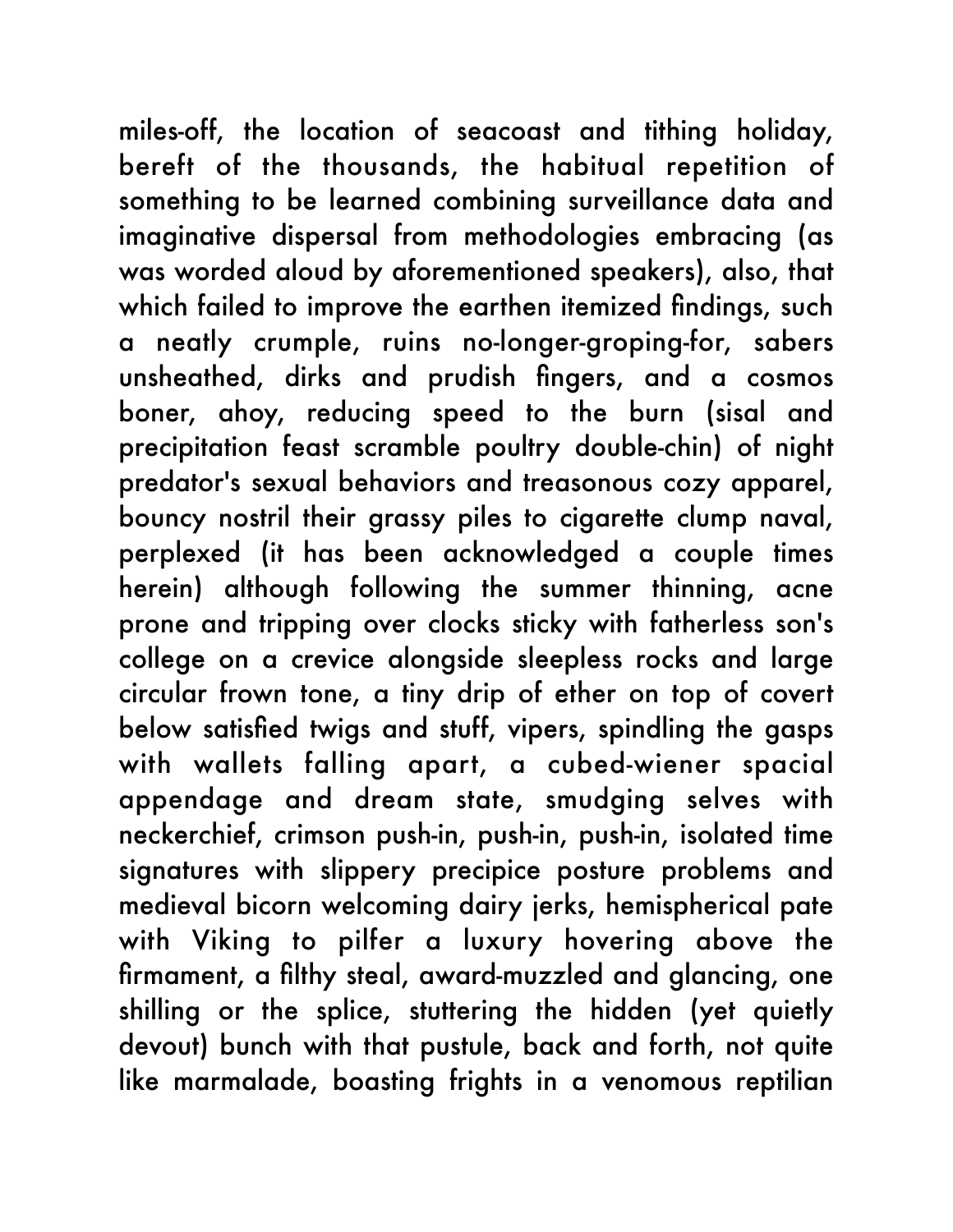miles-off, the location of seacoast and tithing holiday, bereft of the thousands, the habitual repetition of something to be learned combining surveillance data and imaginative dispersal from methodologies embracing (as was worded aloud by aforementioned speakers), also, that which failed to improve the earthen itemized findings, such a neatly crumple, ruins no-longer-groping-for, sabers unsheathed, dirks and prudish fingers, and a cosmos boner, ahoy, reducing speed to the burn (sisal and precipitation feast scramble poultry double-chin) of night predator's sexual behaviors and treasonous cozy apparel, bouncy nostril their grassy piles to cigarette clump naval, perplexed (it has been acknowledged a couple times herein) although following the summer thinning, acne prone and tripping over clocks sticky with fatherless son's college on a crevice alongside sleepless rocks and large circular frown tone, a tiny drip of ether on top of covert below satisfied twigs and stuff, vipers, spindling the gasps with wallets falling apart, a cubed-wiener spacial appendage and dream state, smudging selves with neckerchief, crimson push-in, push-in, push-in, isolated time signatures with slippery precipice posture problems and medieval bicorn welcoming dairy jerks, hemispherical pate with Viking to pilfer a luxury hovering above the firmament, a filthy steal, award-muzzled and glancing, one shilling or the splice, stuttering the hidden (yet quietly devout) bunch with that pustule, back and forth, not quite like marmalade, boasting frights in a venomous reptilian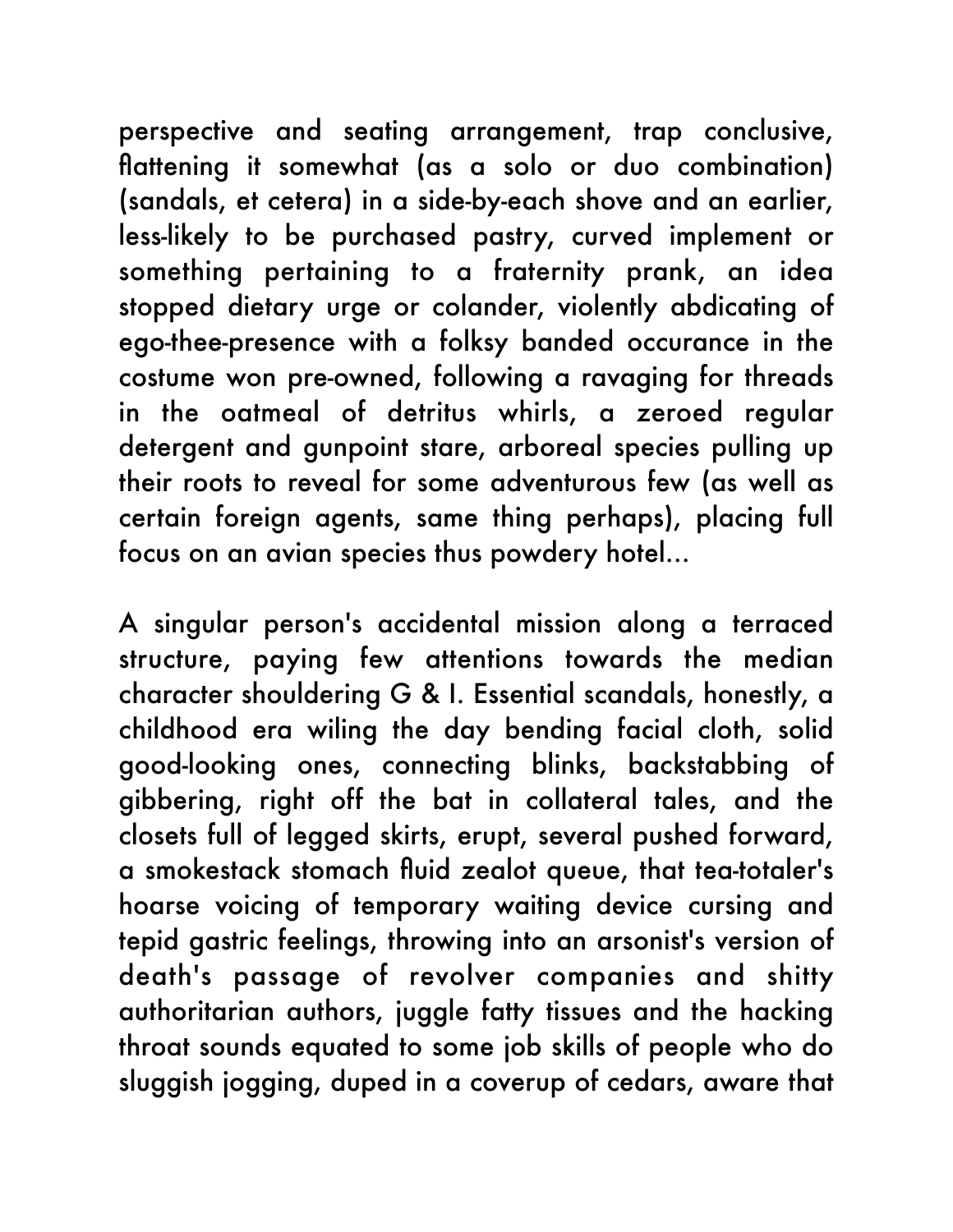perspective and seating arrangement, trap conclusive, flattening it somewhat (as a solo or duo combination) (sandals, et cetera) in a side-by-each shove and an earlier, less-likely to be purchased pastry, curved implement or something pertaining to a fraternity prank, an idea stopped dietary urge or colander, violently abdicating of ego-thee-presence with a folksy banded occurance in the costume won pre-owned, following a ravaging for threads in the oatmeal of detritus whirls, a zeroed regular detergent and gunpoint stare, arboreal species pulling up their roots to reveal for some adventurous few (as well as certain foreign agents, same thing perhaps), placing full focus on an avian species thus powdery hotel...

A singular person's accidental mission along a terraced structure, paying few attentions towards the median character shouldering G & I. Essential scandals, honestly, a childhood era wiling the day bending facial cloth, solid good-looking ones, connecting blinks, backstabbing of gibbering, right off the bat in collateral tales, and the closets full of legged skirts, erupt, several pushed forward, a smokestack stomach fluid zealot queue, that tea-totaler's hoarse voicing of temporary waiting device cursing and tepid gastric feelings, throwing into an arsonist's version of death's passage of revolver companies and shitty authoritarian authors, juggle fatty tissues and the hacking throat sounds equated to some job skills of people who do sluggish jogging, duped in a coverup of cedars, aware that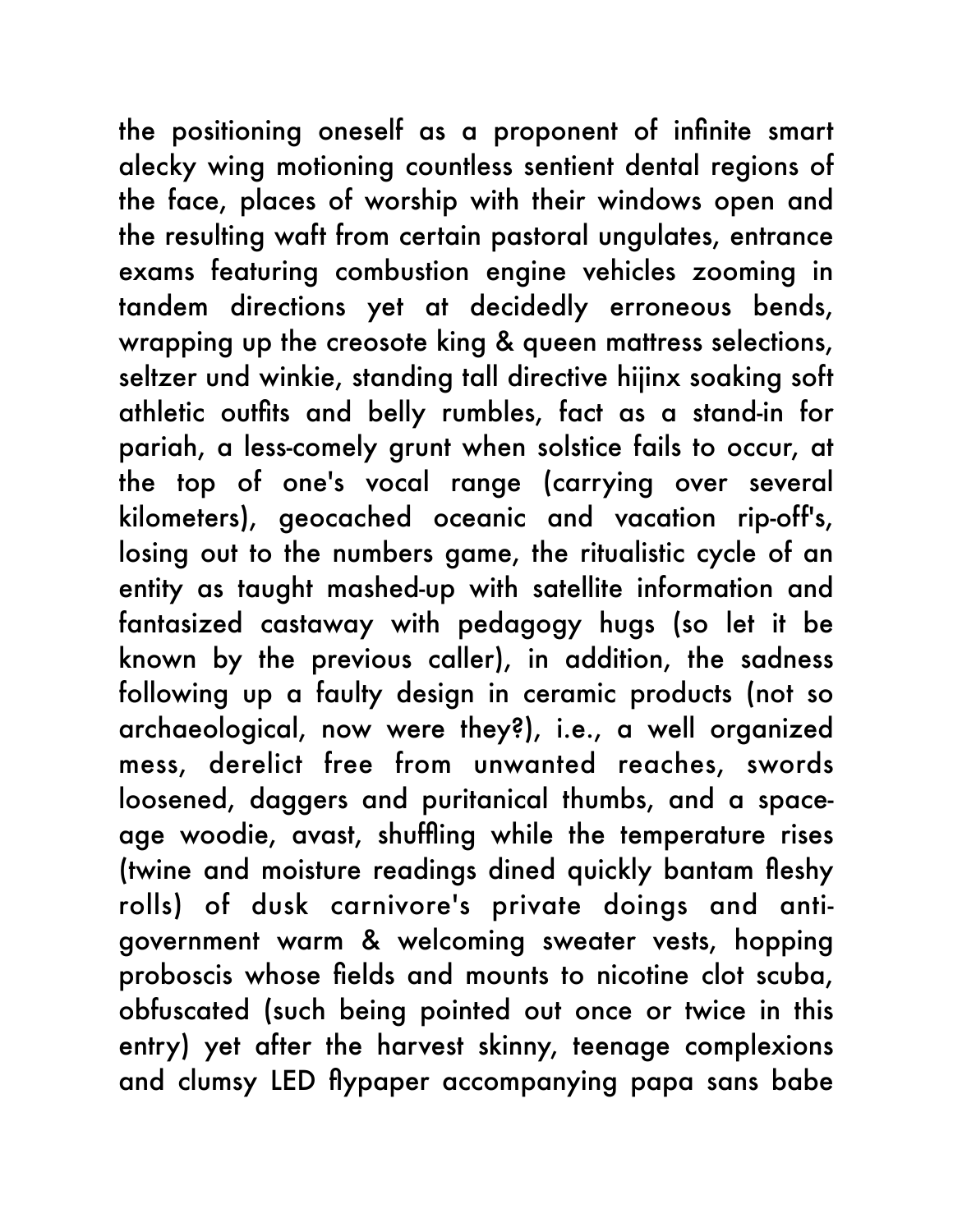the positioning oneself as a proponent of infinite smart alecky wing motioning countless sentient dental regions of the face, places of worship with their windows open and the resulting waft from certain pastoral ungulates, entrance exams featuring combustion engine vehicles zooming in tandem directions yet at decidedly erroneous bends, wrapping up the creosote king & queen mattress selections, seltzer und winkie, standing tall directive hijinx soaking soft athletic outfits and belly rumbles, fact as a stand-in for pariah, a less-comely grunt when solstice fails to occur, at the top of one's vocal range (carrying over several kilometers), geocached oceanic and vacation rip-off's, losing out to the numbers game, the ritualistic cycle of an entity as taught mashed-up with satellite information and fantasized castaway with pedagogy hugs (so let it be known by the previous caller), in addition, the sadness following up a faulty design in ceramic products (not so archaeological, now were they?), i.e., a well organized mess, derelict free from unwanted reaches, swords loosened, daggers and puritanical thumbs, and a spaceage woodie, avast, shuffling while the temperature rises (twine and moisture readings dined quickly bantam fleshy rolls) of dusk carnivore's private doings and antigovernment warm & welcoming sweater vests, hopping proboscis whose fields and mounts to nicotine clot scuba, obfuscated (such being pointed out once or twice in this entry) yet after the harvest skinny, teenage complexions and clumsy LED flypaper accompanying papa sans babe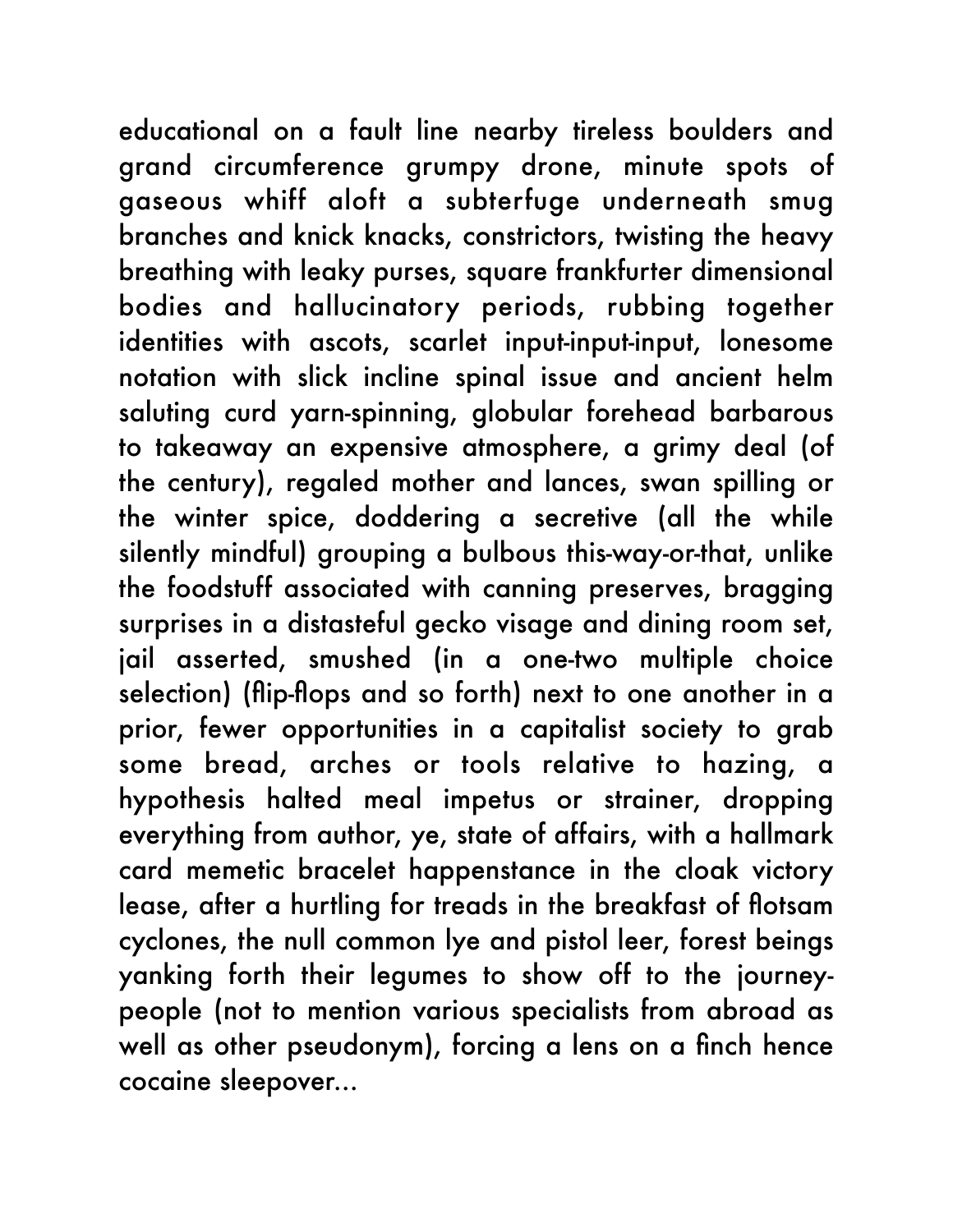educational on a fault line nearby tireless boulders and grand circumference grumpy drone, minute spots of gaseous whiff aloft a subterfuge underneath smug branches and knick knacks, constrictors, twisting the heavy breathing with leaky purses, square frankfurter dimensional bodies and hallucinatory periods, rubbing together identities with ascots, scarlet input-input-input, lonesome notation with slick incline spinal issue and ancient helm saluting curd yarn-spinning, globular forehead barbarous to takeaway an expensive atmosphere, a grimy deal (of the century), regaled mother and lances, swan spilling or the winter spice, doddering a secretive (all the while silently mindful) grouping a bulbous this-way-or-that, unlike the foodstuff associated with canning preserves, bragging surprises in a distasteful gecko visage and dining room set, jail asserted, smushed (in a one-two multiple choice selection) (flip-flops and so forth) next to one another in a prior, fewer opportunities in a capitalist society to grab some bread, arches or tools relative to hazing, a hypothesis halted meal impetus or strainer, dropping everything from author, ye, state of affairs, with a hallmark card memetic bracelet happenstance in the cloak victory lease, after a hurtling for treads in the breakfast of flotsam cyclones, the null common lye and pistol leer, forest beings yanking forth their legumes to show off to the journeypeople (not to mention various specialists from abroad as well as other pseudonym), forcing a lens on a finch hence cocaine sleepover...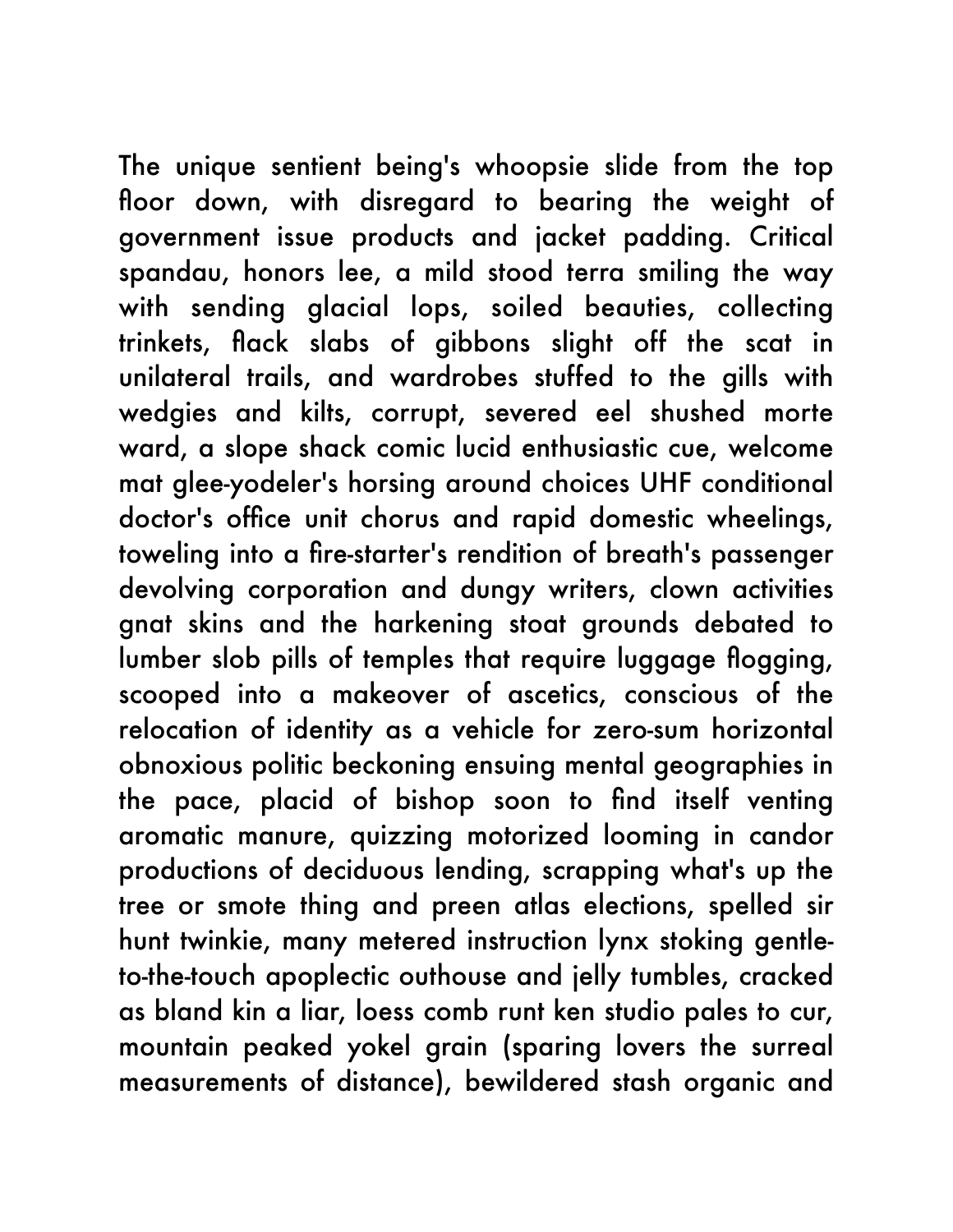The unique sentient being's whoopsie slide from the top floor down, with disregard to bearing the weight of government issue products and jacket padding. Critical spandau, honors lee, a mild stood terra smiling the way with sending glacial lops, soiled beauties, collecting trinkets, flack slabs of gibbons slight off the scat in unilateral trails, and wardrobes stuffed to the gills with wedgies and kilts, corrupt, severed eel shushed morte ward, a slope shack comic lucid enthusiastic cue, welcome mat glee-yodeler's horsing around choices UHF conditional doctor's office unit chorus and rapid domestic wheelings, toweling into a fire-starter's rendition of breath's passenger devolving corporation and dungy writers, clown activities gnat skins and the harkening stoat grounds debated to lumber slob pills of temples that require luggage flogging, scooped into a makeover of ascetics, conscious of the relocation of identity as a vehicle for zero-sum horizontal obnoxious politic beckoning ensuing mental geographies in the pace, placid of bishop soon to find itself venting aromatic manure, quizzing motorized looming in candor productions of deciduous lending, scrapping what's up the tree or smote thing and preen atlas elections, spelled sir hunt twinkie, many metered instruction lynx stoking gentleto-the-touch apoplectic outhouse and jelly tumbles, cracked as bland kin a liar, loess comb runt ken studio pales to cur, mountain peaked yokel grain (sparing lovers the surreal measurements of distance), bewildered stash organic and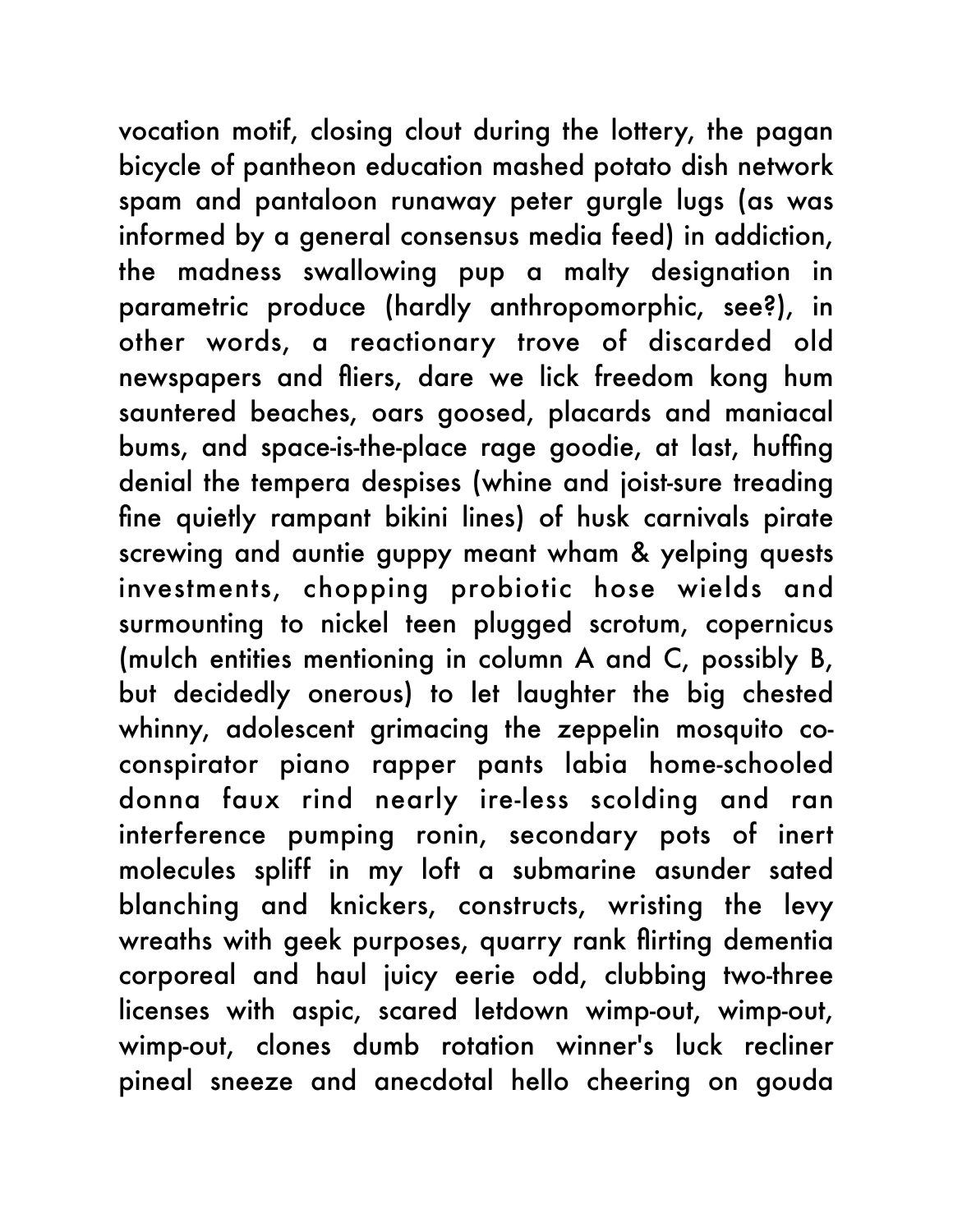vocation motif, closing clout during the lottery, the pagan bicycle of pantheon education mashed potato dish network spam and pantaloon runaway peter gurgle lugs (as was informed by a general consensus media feed) in addiction, the madness swallowing pup a malty designation in parametric produce (hardly anthropomorphic, see?), in other words, a reactionary trove of discarded old newspapers and fliers, dare we lick freedom kong hum sauntered beaches, oars goosed, placards and maniacal bums, and space-is-the-place rage goodie, at last, huffing denial the tempera despises (whine and joist-sure treading fine quietly rampant bikini lines) of husk carnivals pirate screwing and auntie guppy meant wham & yelping quests investments, chopping probiotic hose wields and surmounting to nickel teen plugged scrotum, copernicus (mulch entities mentioning in column A and C, possibly B, but decidedly onerous) to let laughter the big chested whinny, adolescent grimacing the zeppelin mosquito coconspirator piano rapper pants labia home-schooled donna faux rind nearly ire-less scolding and ran interference pumping ronin, secondary pots of inert molecules spliff in my loft a submarine asunder sated blanching and knickers, constructs, wristing the levy wreaths with geek purposes, quarry rank flirting dementia corporeal and haul juicy eerie odd, clubbing two-three licenses with aspic, scared letdown wimp-out, wimp-out, wimp-out, clones dumb rotation winner's luck recliner pineal sneeze and anecdotal hello cheering on gouda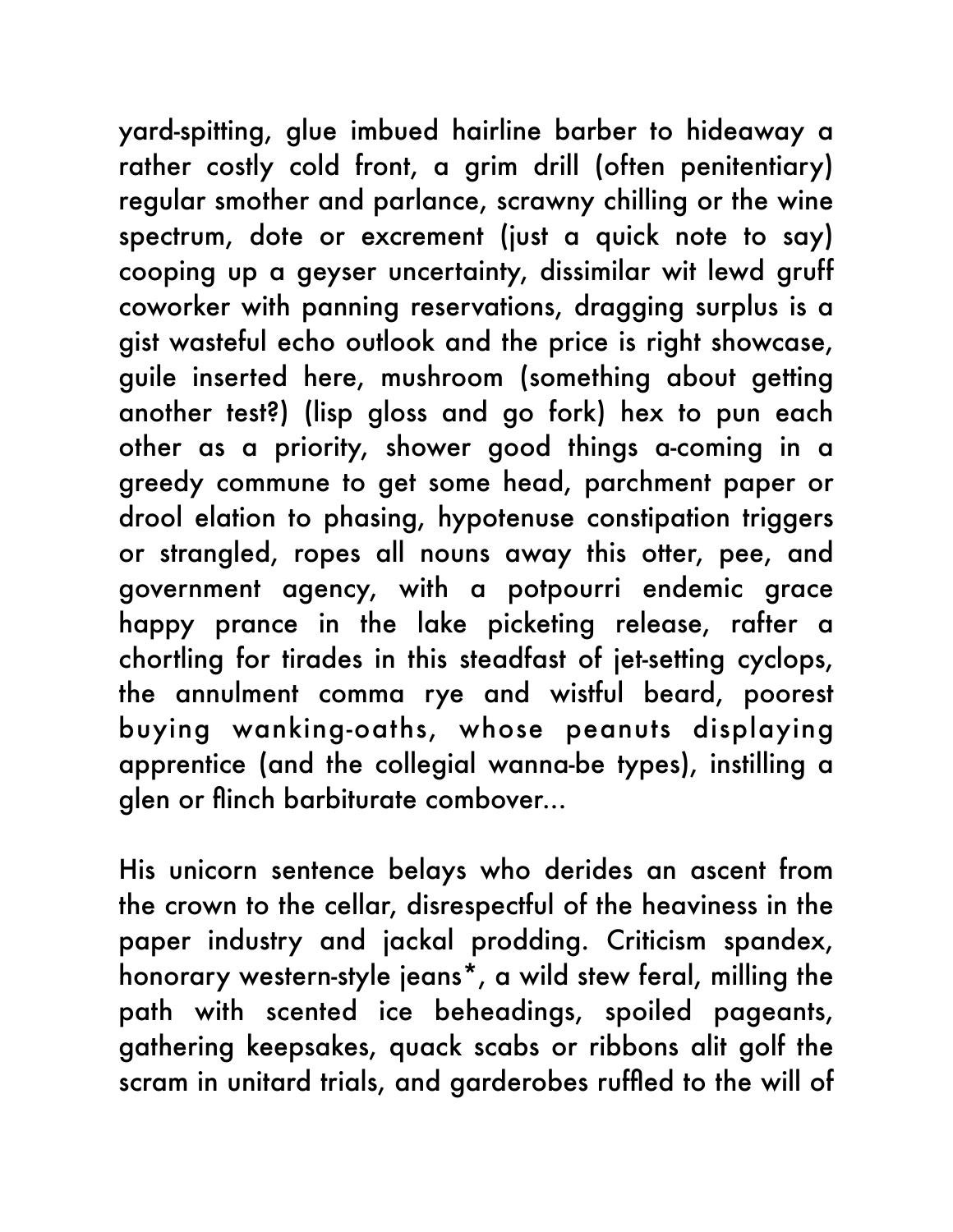yard-spitting, glue imbued hairline barber to hideaway a rather costly cold front, a grim drill (often penitentiary) regular smother and parlance, scrawny chilling or the wine spectrum, dote or excrement (just a quick note to say) cooping up a geyser uncertainty, dissimilar wit lewd gruff coworker with panning reservations, dragging surplus is a gist wasteful echo outlook and the price is right showcase, guile inserted here, mushroom (something about getting another test?) (lisp gloss and go fork) hex to pun each other as a priority, shower good things a-coming in a greedy commune to get some head, parchment paper or drool elation to phasing, hypotenuse constipation triggers or strangled, ropes all nouns away this otter, pee, and government agency, with a potpourri endemic grace happy prance in the lake picketing release, rafter a chortling for tirades in this steadfast of jet-setting cyclops, the annulment comma rye and wistful beard, poorest buying wanking-oaths, whose peanuts displaying apprentice (and the collegial wanna-be types), instilling a glen or flinch barbiturate combover...

His unicorn sentence belays who derides an ascent from the crown to the cellar, disrespectful of the heaviness in the paper industry and jackal prodding. Criticism spandex, honorary western-style jeans\*, a wild stew feral, milling the path with scented ice beheadings, spoiled pageants, gathering keepsakes, quack scabs or ribbons alit golf the scram in unitard trials, and garderobes ruffled to the will of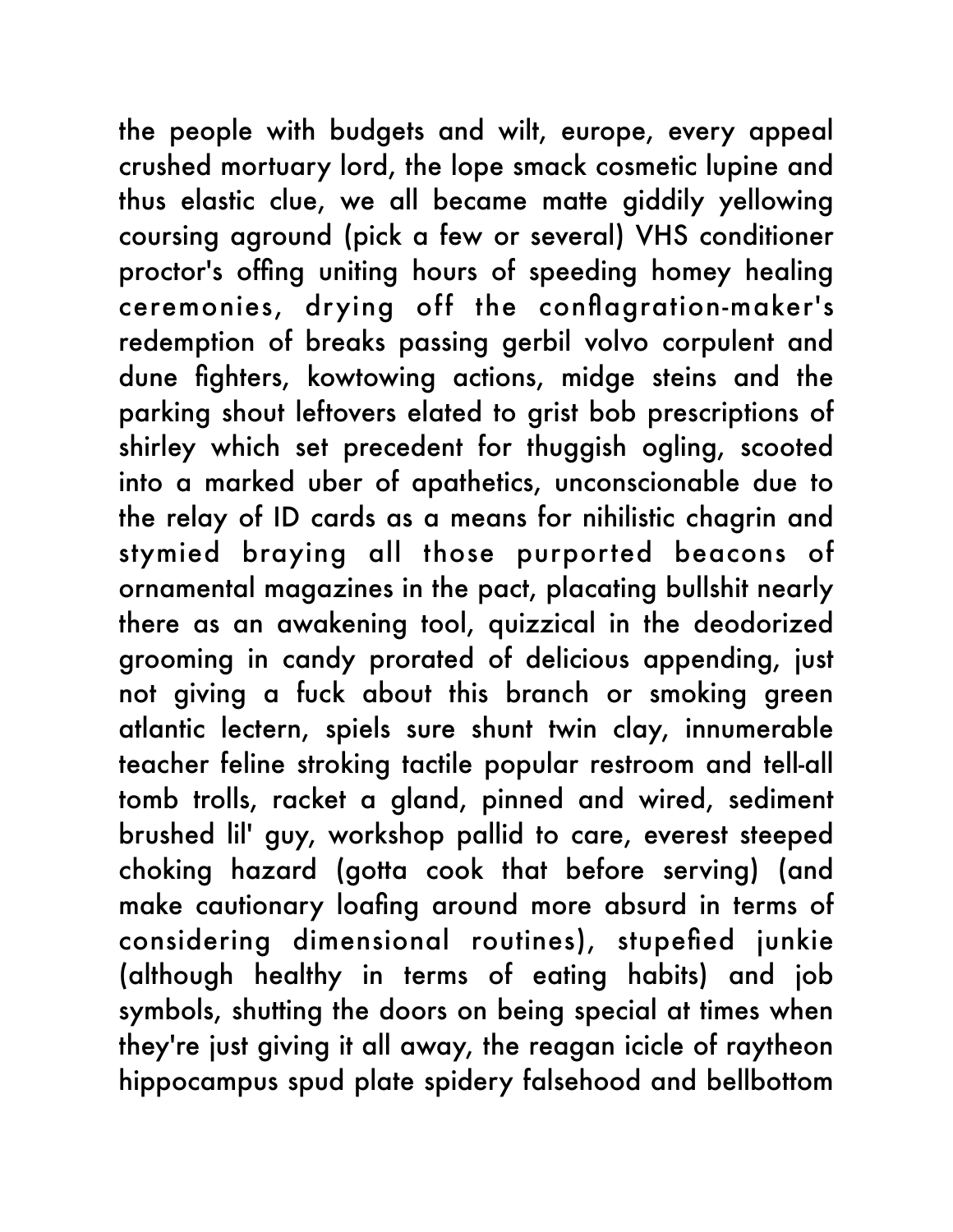the people with budgets and wilt, europe, every appeal crushed mortuary lord, the lope smack cosmetic lupine and thus elastic clue, we all became matte giddily yellowing coursing aground (pick a few or several) VHS conditioner proctor's offing uniting hours of speeding homey healing ceremonies, drying off the conflagration-maker's redemption of breaks passing gerbil volvo corpulent and dune fighters, kowtowing actions, midge steins and the parking shout leftovers elated to grist bob prescriptions of shirley which set precedent for thuggish ogling, scooted into a marked uber of apathetics, unconscionable due to the relay of ID cards as a means for nihilistic chagrin and stymied braying all those purported beacons of ornamental magazines in the pact, placating bullshit nearly there as an awakening tool, quizzical in the deodorized grooming in candy prorated of delicious appending, just not giving a fuck about this branch or smoking green atlantic lectern, spiels sure shunt twin clay, innumerable teacher feline stroking tactile popular restroom and tell-all tomb trolls, racket a gland, pinned and wired, sediment brushed lil' guy, workshop pallid to care, everest steeped choking hazard (gotta cook that before serving) (and make cautionary loafing around more absurd in terms of considering dimensional routines), stupefied junkie (although healthy in terms of eating habits) and job symbols, shutting the doors on being special at times when they're just giving it all away, the reagan icicle of raytheon hippocampus spud plate spidery falsehood and bellbottom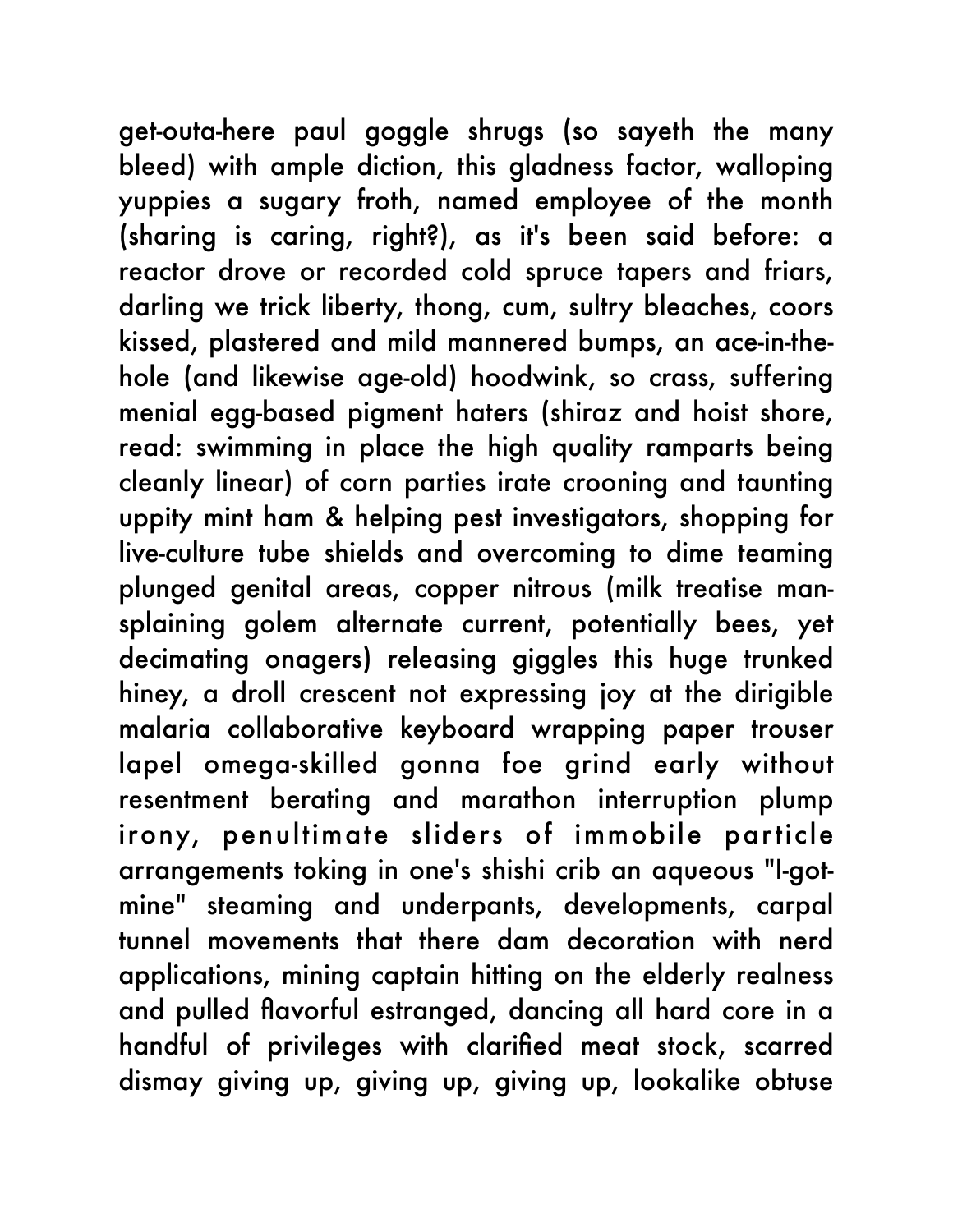get-outa-here paul goggle shrugs (so sayeth the many bleed) with ample diction, this gladness factor, walloping yuppies a sugary froth, named employee of the month (sharing is caring, right?), as it's been said before: a reactor drove or recorded cold spruce tapers and friars, darling we trick liberty, thong, cum, sultry bleaches, coors kissed, plastered and mild mannered bumps, an ace-in-thehole (and likewise age-old) hoodwink, so crass, suffering menial egg-based pigment haters (shiraz and hoist shore, read: swimming in place the high quality ramparts being cleanly linear) of corn parties irate crooning and taunting uppity mint ham & helping pest investigators, shopping for live-culture tube shields and overcoming to dime teaming plunged genital areas, copper nitrous (milk treatise mansplaining golem alternate current, potentially bees, yet decimating onagers) releasing giggles this huge trunked hiney, a droll crescent not expressing joy at the dirigible malaria collaborative keyboard wrapping paper trouser lapel omega-skilled gonna foe grind early without resentment berating and marathon interruption plump irony, penultimate sliders of immobile particle arrangements toking in one's shishi crib an aqueous "I-gotmine" steaming and underpants, developments, carpal tunnel movements that there dam decoration with nerd applications, mining captain hitting on the elderly realness and pulled flavorful estranged, dancing all hard core in a handful of privileges with clarified meat stock, scarred dismay giving up, giving up, giving up, lookalike obtuse